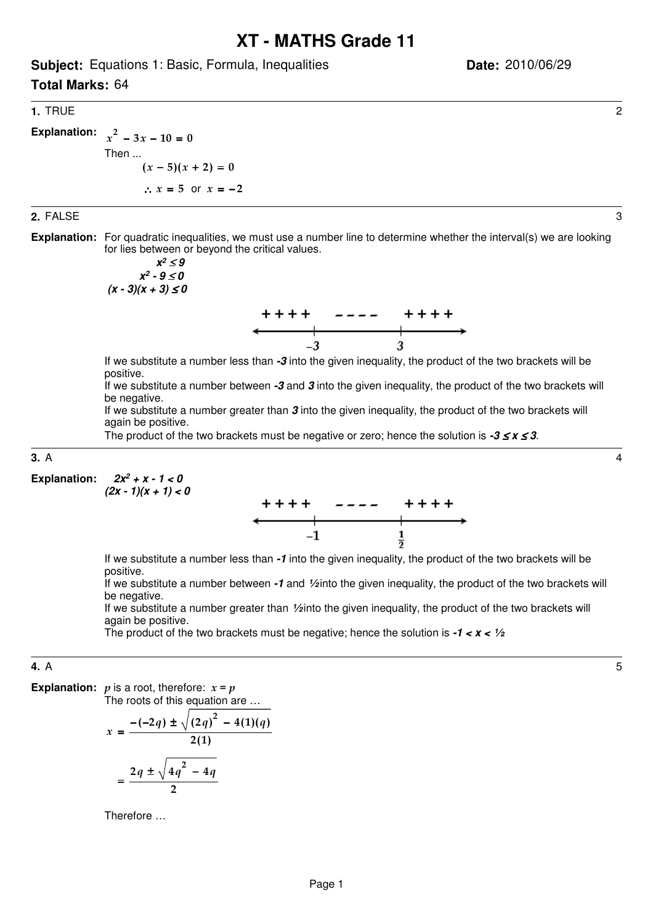# **XT - MATHS Grade 11**

**Subject:** Equations 1: Basic, Formula, Inequalities

**Total Marks:** 64

## **1.** TRUE 2

**Explanation:**  $x^2 - 3x - 10 = 0$ Then ...  $(x-5)(x+2) = 0$ 

$$
\therefore x = 5 \text{ or } x = -2
$$

#### **2.** FALSE 3

**Explanation:** For quadratic inequalities, we must use a number line to determine whether the interval(s) we are looking for lies between or beyond the critical values.

$$
x2 \le 9
$$
  

$$
x2 - 9 \le 0
$$
  

$$
(x - 3)(x + 3) \le 0
$$



If we substitute a number less than **-3** into the given inequality, the product of the two brackets will be positive.

If we substitute a number between **-3** and **3** into the given inequality, the product of the two brackets will be negative.

If we substitute a number greater than **3** into the given inequality, the product of the two brackets will again be positive.

The product of the two brackets must be negative or zero; hence the solution is **-3** ≤ **x** ≤ **3**.

## **3.** A 4

 **2x<sup>2</sup> + x - 1 < 0**  $(2x - 1)(x + 1) < 0$ **Explanation:**



If we substitute a number less than **-1** into the given inequality, the product of the two brackets will be positive.

If we substitute a number between **-1** and **½** into the given inequality, the product of the two brackets will be negative.

If we substitute a number greater than **½** into the given inequality, the product of the two brackets will again be positive.

The product of the two brackets must be negative; hence the solution is **-1 < x < ½**.

#### **4.** A 5

**Explanation:**  $p$  is a root, therefore:  $x = p$ 

The roots of this equation are …

$$
x = \frac{-(-2q) \pm \sqrt{(2q)^2 - 4(1)(q)}}{2(1)}
$$
  
= 
$$
\frac{2q \pm \sqrt{4q^2 - 4q}}{2}
$$

Therefore …

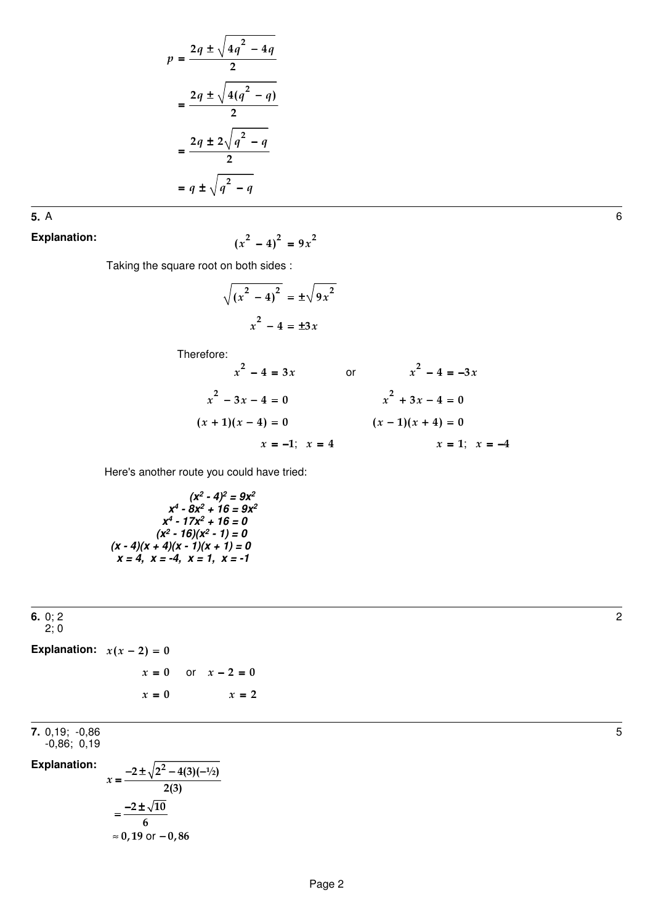$$
p = \frac{2q \pm \sqrt{4q^2 - 4q}}{2}
$$

$$
= \frac{2q \pm \sqrt{4(q^2 - q)}}{2}
$$

$$
= \frac{2q \pm 2\sqrt{q^2 - q}}{2}
$$

$$
= q \pm \sqrt{q^2 - q}
$$

**5.** A 6

**Explanation:**

 $(x^{2} - 4)^{2} = 9x^{2}$ 

Taking the square root on both sides :

$$
\sqrt{(x^2 - 4)^2} = \pm \sqrt{9x^2}
$$

$$
x^2 - 4 = \pm 3x
$$

Therefore:

$$
x^{2} - 4 = 3x
$$
 or 
$$
x^{2} - 4 = -3x
$$
  

$$
x^{2} - 3x - 4 = 0
$$

$$
(x + 1)(x - 4) = 0
$$

$$
x = -1; x = 4
$$
 or 
$$
x^{2} + 3x - 4 = 0
$$

$$
(x - 1)(x + 4) = 0
$$

$$
x = 1; x = -4
$$

Here's another route you could have tried:

 $(x^2 - 4)^2 = 9x^2$  $x^4 - 8x^2 + 16 = 9x^2$  $x^4 - 17x^2 + 16 = 0$  $(x^2 - 16)(x^2 - 1) = 0$  $(x - 4)(x + 4)(x - 1)(x + 1) = 0$  $x = 4$ ,  $x = -4$ ,  $x = 1$ ,  $x = -1$ 

 $\approx 0,19$  or  $-0,86$ 

**6.** 0; 2 2; 0  $x = 0$  or  $x - 2 = 0$  $x = 0$   $x =$ Explanation:  $x(x-2) = 0$  $x = 2$ **7.** 0,19; -0,86  $-0,86$ ;  $0,19$  $2 \pm \sqrt{2^2 - 4(3)(-1/2)}$  $x = \frac{y}{2(3)}$  $2 \pm \sqrt{10}$ 6  $=\frac{-2\pm\sqrt{2^2-4(3)(-1)}}{2}$  $=$  $\frac{-2\pm}{}$ **Explanation:**

5

2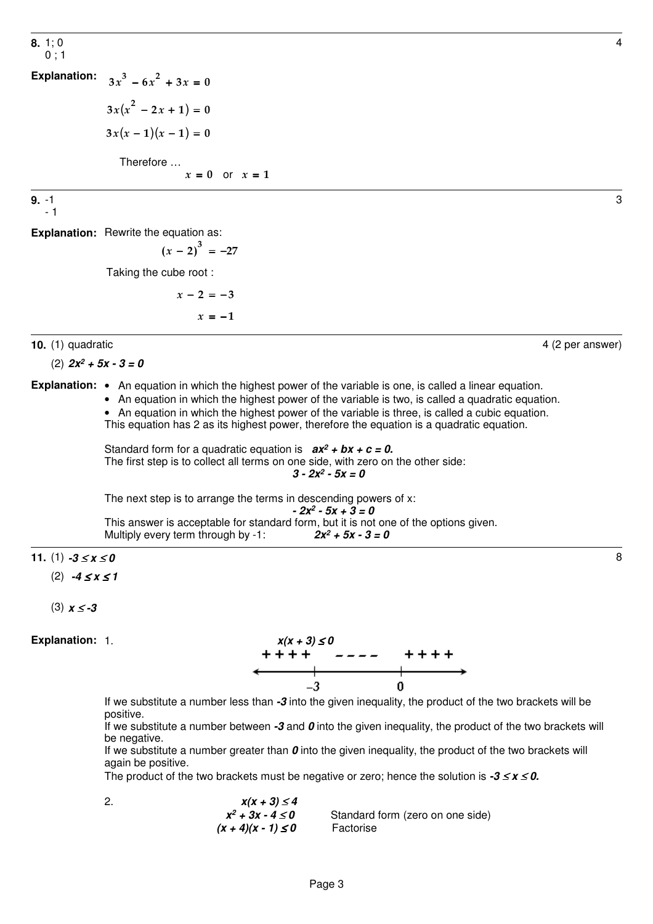4

3

**8.** 1; 0  $0:1$ 

 $3x(x^2 - 2x + 1) = 0$  $3x(x-1)(x-1) = 0$  $3x^3 - 6x^2 + 3x = 0$  Therefore …  $x = 0$  or  $x = 1$ **Explanation:**

**9.** -1 - 1

**Explanation:** Rewrite the equation as:

$$
(x-2)^3 = -27
$$

Taking the cube root :

 $x - 2 = -3$ 

 $x = -1$ 

**10.** (1) quadratic 4 (2 per answer)

(2) **2x<sup>2</sup> + 5x - 3 = 0**

Explanation: • An equation in which the highest power of the variable is one, is called a linear equation.

- An equation in which the highest power of the variable is two, is called a quadratic equation.
- An equation in which the highest power of the variable is three, is called a cubic equation.

This equation has 2 as its highest power, therefore the equation is a quadratic equation.

Standard form for a quadratic equation is  $ax^2 + bx + c = 0$ . The first step is to collect all terms on one side, with zero on the other side:  $3 - 2x^2 - 5x = 0$ 

The next step is to arrange the terms in descending powers of x:

$$
-2x^2 - 5x + 3 = 0
$$

This answer is acceptable for standard form, but it is not one of the options given. Multiply every term through by -1:  $2x^2 + 5x - 3 = 0$ 

**11.** (1) **-3**  $\le x \le 0$  8

(2) **-4** ≤ **x** ≤ **1**

$$
(3) x \le -3
$$

**Explanation:**



If we substitute a number less than **-3** into the given inequality, the product of the two brackets will be positive.

If we substitute a number between **-3** and **0** into the given inequality, the product of the two brackets will be negative.

If we substitute a number greater than **0** into the given inequality, the product of the two brackets will again be positive.

The product of the two brackets must be negative or zero; hence the solution is **-3** ≤ **x** ≤ **0.**

2.  $x(x + 3) \le 4$ **x**  $x^2 + 3x - 4 \le 0$ Standard form (zero on one side)  $(x + 4)(x - 1) \le 0$  Factorise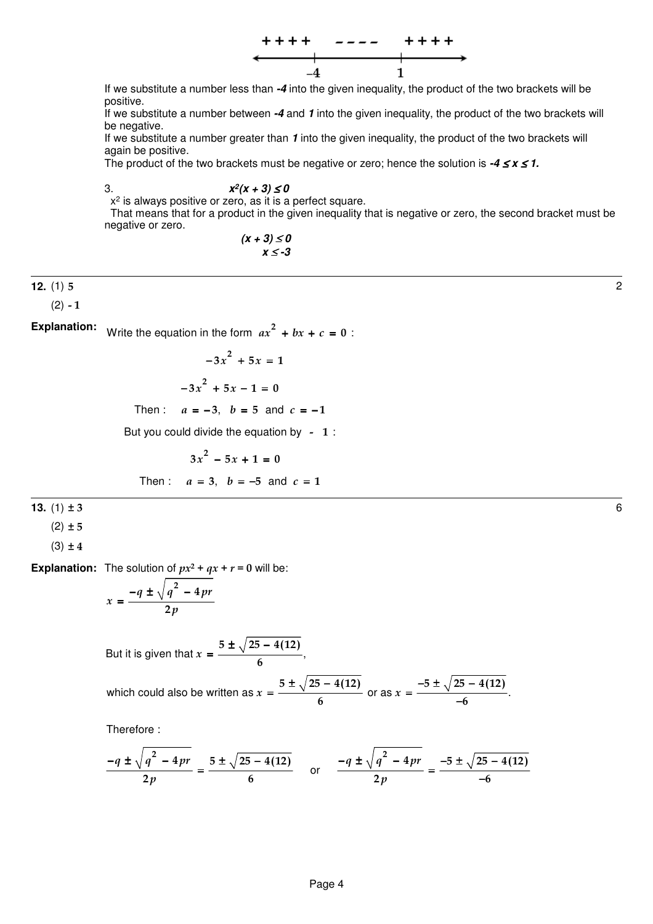

If we substitute a number less than **-4** into the given inequality, the product of the two brackets will be positive.

If we substitute a number between **-4** and **1** into the given inequality, the product of the two brackets will be negative.

If we substitute a number greater than **1** into the given inequality, the product of the two brackets will again be positive.

The product of the two brackets must be negative or zero; hence the solution is **-4** ≤ **x** ≤ **1.**

3. **x 2 (x + 3)** ≤ **0**

 $x<sup>2</sup>$  is always positive or zero, as it is a perfect square.

 That means that for a product in the given inequality that is negative or zero, the second bracket must be negative or zero.

$$
(x+3) \le 0
$$
  

$$
x \le -3
$$

## **12.** (1) 5 2

 $(2) - 1$ 

Write the equation in the form  $ax^2 + bx + c = 0$ : **Explanation:**

$$
-3x^2 + 5x = 1
$$

$$
-3x^2 + 5x - 1 = 0
$$

Then :  $a = -3$ ,  $b = 5$  and  $c = -1$ 

But you could divide the equation by  $-1$ :

$$
3x2 - 5x + 1 = 0
$$
  
Then:  $a = 3$ ,  $b = -5$  and  $c = 1$ 

**13.** (1) ± 3 6

 $(2) \pm 5$ 

 $(3) \pm 4$ 

**Explanation:** The solution of  $px^2 + qx + r = 0$  will be:

$$
x = \frac{-q \pm \sqrt{q^2 - 4pr}}{2p}
$$

But it is given that 
$$
x = \frac{5 \pm \sqrt{25 - 4(12)}}{6}
$$

which could also be written as 
$$
x = \frac{5 \pm \sqrt{25 - 4(12)}}{6}
$$
 or as  $x = \frac{-5 \pm \sqrt{25 - 4(12)}}{-6}$ .

Therefore :

$$
\frac{-q \pm \sqrt{q^2 - 4pr}}{2p} = \frac{5 \pm \sqrt{25 - 4(12)}}{6}
$$
 or 
$$
\frac{-q \pm \sqrt{q^2 - 4pr}}{2p} = \frac{-5 \pm \sqrt{25 - 4(12)}}{-6}
$$

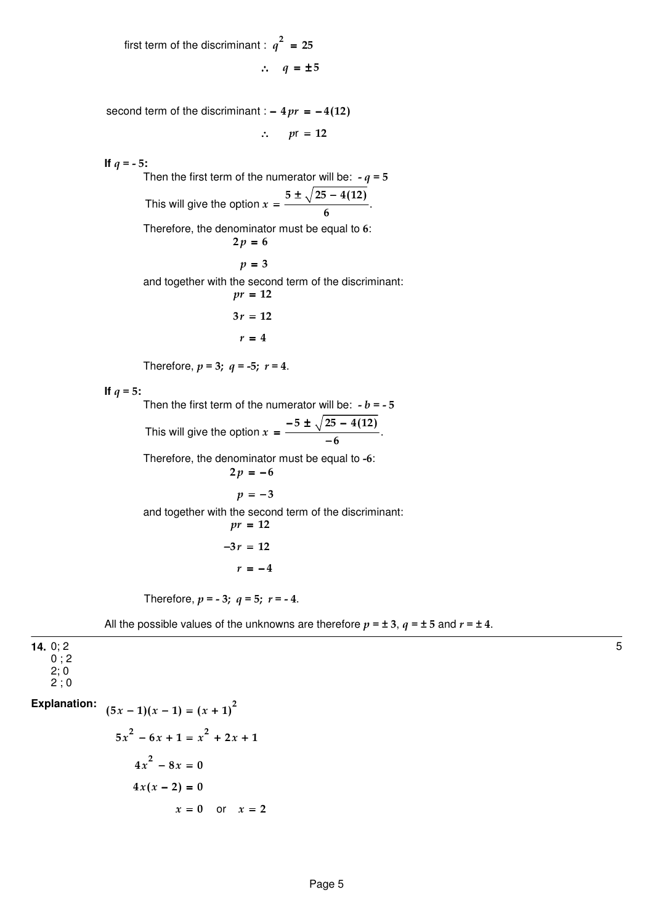first term of the discriminant :  $q^2 = 25$  $\therefore$   $q = \pm 5$ 

second term of the discriminant :  $-4pr = -4(12)$ 

 $\therefore$  pr = 12

**If**  $q = -5$ **:** 

Then the first term of the numerator will be:  $-a = 5$ This will give the option  $x = \frac{y}{x}$ .  $5\pm\sqrt{25-4(12)}$  $x = \frac{0}{\sqrt{6}}$ ± √25 – = Therefore, the denominator must be equal to 6:  $2p = 6$  $p = 3$ and together with the second term of the discriminant:  $pr = 12$  $3r = 12$  $r = 4$ 

Therefore,  $p = 3$ ;  $q = -5$ ;  $r = 4$ .

**If**  $q = 5$ **:** 

Then the first term of the numerator will be:  $-b = -5$ This will give the option  $x = \frac{y}{x}$ .  $5 \pm \sqrt{25 - 4(12)}$  $x = \frac{6}{-6}$ −5 ± √25 − = <sup><del>− − √ −</del></sup> Therefore, the denominator must be equal to -6:  $2p = -6$ 

 $p = -3$ 

and together with the second term of the discriminant:

$$
pr = 12
$$

$$
-3r = 12
$$

$$
r = -4
$$

Therefore,  $p = -3$ ;  $q = 5$ ;  $r = -4$ .

All the possible values of the unknowns are therefore  $p = \pm 3$ ,  $q = \pm 5$  and  $r = \pm 4$ .

**14.** 0; 2  $0$  ; 2 2; 0  $2^{\frac{1}{2}}$  : 0  $x = 0$  or  $x = 2$  $(5x-1)(x-1) = (x + 1)^2$  $5x^{2} - 6x + 1 = x^{2} + 2x + 1$  $4x^2 - 8x = 0$  $4x(x - 2) = 0$ **Explanation:**

5